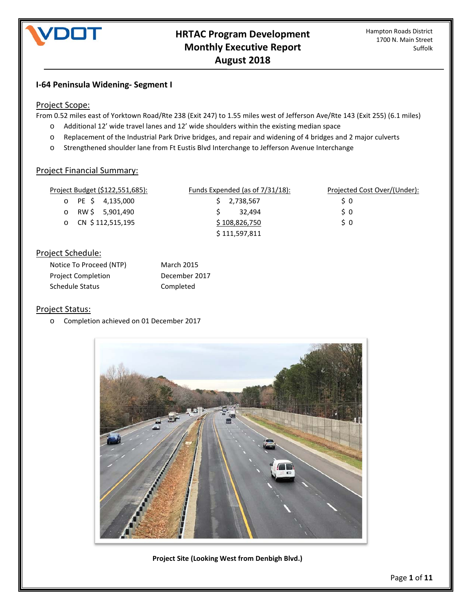

# **I-64 Peninsula Widening- Segment I**

#### Project Scope:

From 0.52 miles east of Yorktown Road/Rte 238 (Exit 247) to 1.55 miles west of Jefferson Ave/Rte 143 (Exit 255) (6.1 miles)

- o Additional 12' wide travel lanes and 12' wide shoulders within the existing median space
- o Replacement of the Industrial Park Drive bridges, and repair and widening of 4 bridges and 2 major culverts
- o Strengthened shoulder lane from Ft Eustis Blvd Interchange to Jefferson Avenue Interchange

## Project Financial Summary:

| Project Budget (\$122,551,685): | Funds Expended (as of $7/31/18$ ): | Projected Cost Over/(Under): |
|---------------------------------|------------------------------------|------------------------------|
| $\circ$ PE \$ 4,135,000         | $5$ 2,738,567                      | S 0                          |
| o RW \$ 5,901,490               | 32.494                             | S O                          |
| o CN $$112,515,195$             | \$108,826,750                      | S O                          |
|                                 | \$111,597,811                      |                              |

## Project Schedule:

| Notice To Proceed (NTP) | <b>March 2015</b> |
|-------------------------|-------------------|
| Project Completion      | December 2017     |
| Schedule Status         | Completed         |

#### Project Status:

o Completion achieved on 01 December 2017



**Project Site (Looking West from Denbigh Blvd.)**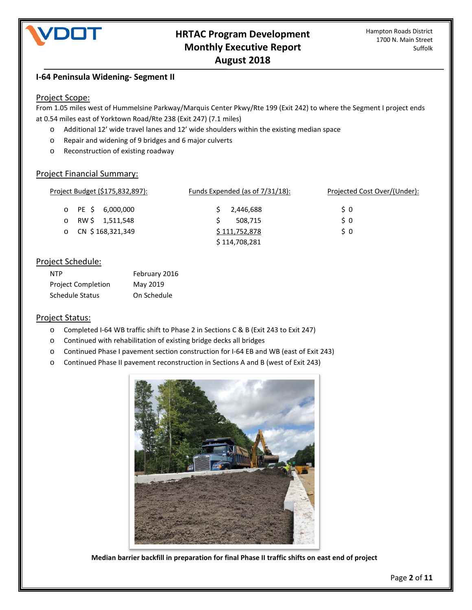

## **I-64 Peninsula Widening- Segment II**

#### Project Scope:

From 1.05 miles west of Hummelsine Parkway/Marquis Center Pkwy/Rte 199 (Exit 242) to where the Segment I project ends at 0.54 miles east of Yorktown Road/Rte 238 (Exit 247) (7.1 miles)

- o Additional 12' wide travel lanes and 12' wide shoulders within the existing median space
- o Repair and widening of 9 bridges and 6 major culverts
- o Reconstruction of existing roadway

#### Project Financial Summary:

| Project Budget (\$175,832,897): | Funds Expended (as of 7/31/18): | Projected Cost Over/(Under): |
|---------------------------------|---------------------------------|------------------------------|
| o PE \$ 6,000,000               | 2,446,688                       | S O                          |
| RW \$ 1,511,548<br>$\circ$      | 508,715                         | S O                          |
| o CN $$168,321,349$             | \$111,752,878                   | S O                          |
|                                 | \$114,708,281                   |                              |

#### Project Schedule:

| <b>NTP</b>                | February 2016 |
|---------------------------|---------------|
| <b>Project Completion</b> | May 2019      |
| Schedule Status           | On Schedule   |

#### Project Status:

- o Completed I-64 WB traffic shift to Phase 2 in Sections C & B (Exit 243 to Exit 247)
- o Continued with rehabilitation of existing bridge decks all bridges
- o Continued Phase I pavement section construction for I-64 EB and WB (east of Exit 243)
- o Continued Phase II pavement reconstruction in Sections A and B (west of Exit 243)



**Median barrier backfill in preparation for final Phase II traffic shifts on east end of project**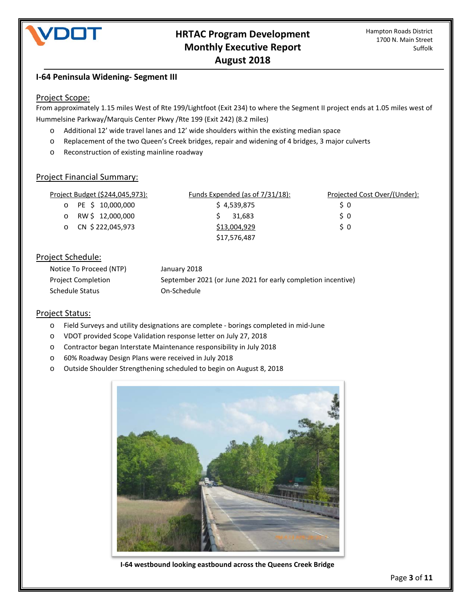

# **I-64 Peninsula Widening- Segment III**

#### Project Scope:

From approximately 1.15 miles West of Rte 199/Lightfoot (Exit 234) to where the Segment II project ends at 1.05 miles west of Hummelsine Parkway/Marquis Center Pkwy /Rte 199 (Exit 242) (8.2 miles)

- o Additional 12' wide travel lanes and 12' wide shoulders within the existing median space
- o Replacement of the two Queen's Creek bridges, repair and widening of 4 bridges, 3 major culverts
- o Reconstruction of existing mainline roadway

## Project Financial Summary:

| Project Budget (\$244,045,973): | Funds Expended (as of 7/31/18): | Projected Cost Over/(Under): |
|---------------------------------|---------------------------------|------------------------------|
| o PE \$ 10,000,000              | \$4,539,875                     | S 0                          |
| o RW \$12,000,000               | 31.683                          | S O                          |
| o CN \$ 222,045,973             | \$13,004,929                    | S O                          |
|                                 | \$17,576,487                    |                              |

## Project Schedule:

| Notice To Proceed (NTP)   | January 2018                                                 |
|---------------------------|--------------------------------------------------------------|
| <b>Project Completion</b> | September 2021 (or June 2021 for early completion incentive) |
| Schedule Status           | On-Schedule                                                  |

## Project Status:

- o Field Surveys and utility designations are complete borings completed in mid-June
- o VDOT provided Scope Validation response letter on July 27, 2018
- o Contractor began Interstate Maintenance responsibility in July 2018
- o 60% Roadway Design Plans were received in July 2018
- o Outside Shoulder Strengthening scheduled to begin on August 8, 2018



**I-64 westbound looking eastbound across the Queens Creek Bridge**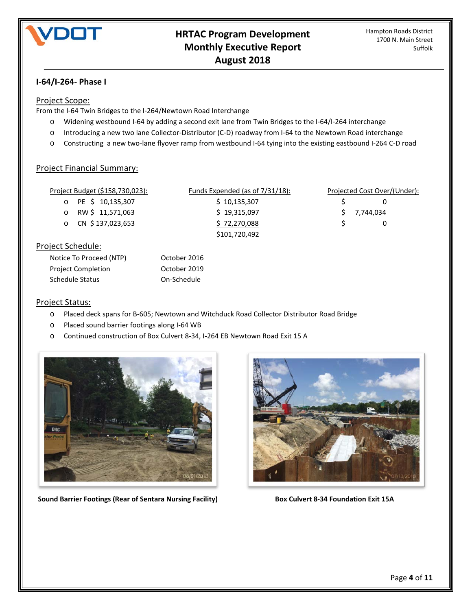

# **I-64/I-264- Phase I**

#### Project Scope:

From the I-64 Twin Bridges to the I-264/Newtown Road Interchange

- o Widening westbound I-64 by adding a second exit lane from Twin Bridges to the I-64/I-264 interchange
- o Introducing a new two lane Collector-Distributor (C-D) roadway from I-64 to the Newtown Road interchange
- o Constructing a new two-lane flyover ramp from westbound I-64 tying into the existing eastbound I-264 C-D road

## Project Financial Summary:

| Project Budget (\$158,730,023): | <u>Funds Expended (as of <math>7/31/18</math>):</u> | Projected Cost Over/(Under): |
|---------------------------------|-----------------------------------------------------|------------------------------|
| PE \$ 10,135,307<br>O           | \$10,135,307                                        | 0                            |
| RW \$11,571,063<br>O            | \$19,315,097                                        | 7,744,034                    |
| CN \$137,023,653<br>$\circ$     | \$72,270,088                                        | 0                            |
|                                 | \$101,720,492                                       |                              |
| Project Schedule:               |                                                     |                              |
| Notice To Proceed (NTP)         | October 2016                                        |                              |

| Project Status: |
|-----------------|
|-----------------|

- o Placed deck spans for B-605; Newtown and Witchduck Road Collector Distributor Road Bridge
- o Placed sound barrier footings along I-64 WB

Project Completion **Completion** October 2019 Schedule Status On-Schedule

o Continued construction of Box Culvert 8-34, I-264 EB Newtown Road Exit 15 A



**Sound Barrier Footings (Rear of Sentara Nursing Facility) Box Culvert 8-34 Foundation Exit 15A** 

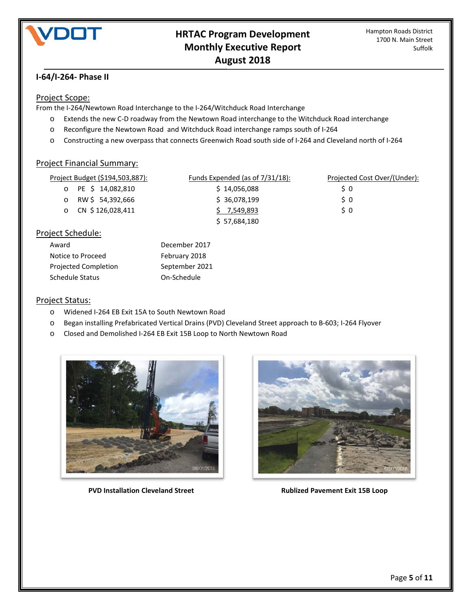

# **I-64/I-264- Phase II**

# Project Scope:

From the I-264/Newtown Road Interchange to the I-264/Witchduck Road Interchange

- o Extends the new C-D roadway from the Newtown Road interchange to the Witchduck Road interchange
- o Reconfigure the Newtown Road and Witchduck Road interchange ramps south of I-264
- o Constructing a new overpass that connects Greenwich Road south side of I-264 and Cleveland north of I-264

#### Project Financial Summary:

| Project Budget (\$194,503,887): | Funds Expended (as of 7/31/18): | Projected Cost Over/(Under): |
|---------------------------------|---------------------------------|------------------------------|
| o PE \$ 14,082,810              | \$14,056,088                    | S 0                          |
| RW \$54,392,666<br>$\circ$      | \$36,078,199                    | S O                          |
| CN \$126,028,411<br>$\Omega$    | 7,549,893                       | S O                          |
|                                 | \$57,684,180                    |                              |
| aiact Cchadula:                 |                                 |                              |

## Project Schedule:

| December 2017  |
|----------------|
| February 2018  |
| September 2021 |
| On-Schedule    |
|                |

## Project Status:

- o Widened I-264 EB Exit 15A to South Newtown Road
- o Began installing Prefabricated Vertical Drains (PVD) Cleveland Street approach to B-603; I-264 Flyover
- o Closed and Demolished I-264 EB Exit 15B Loop to North Newtown Road



**PVD Installation Cleveland Street Alleh Rublized Pavement Exit 15B Loop** 

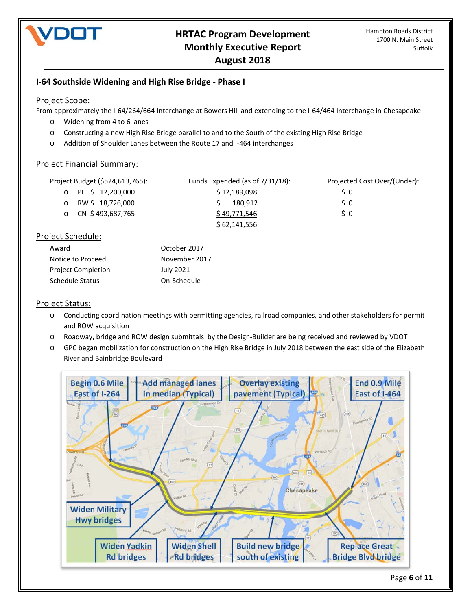

# **I-64 Southside Widening and High Rise Bridge - Phase I**

#### Project Scope:

From approximately the I-64/264/664 Interchange at Bowers Hill and extending to the I-64/464 Interchange in Chesapeake

- o Widening from 4 to 6 lanes
- o Constructing a new High Rise Bridge parallel to and to the South of the existing High Rise Bridge
- o Addition of Shoulder Lanes between the Route 17 and I-464 interchanges

#### Project Financial Summary:

| Project Budget (\$524,613,765): | Funds Expended (as of $7/31/18$ ): | Projected Cost Over/(Under): |
|---------------------------------|------------------------------------|------------------------------|
| o PE \$ 12,200,000              | \$12,189,098                       | S O                          |
| RW\$ 18,726,000<br>$\circ$      | 180.912                            | S O                          |
| o CN $$493,687,765$             | \$49,771,546                       | S O                          |
|                                 | \$62,141,556                       |                              |
|                                 |                                    |                              |

## Project Schedule:

| Award              | October 2017  |
|--------------------|---------------|
| Notice to Proceed  | November 2017 |
| Project Completion | July 2021     |
| Schedule Status    | On-Schedule   |

## Project Status:

- o Conducting coordination meetings with permitting agencies, railroad companies, and other stakeholders for permit and ROW acquisition
- o Roadway, bridge and ROW design submittals by the Design-Builder are being received and reviewed by VDOT
- o GPC began mobilization for construction on the High Rise Bridge in July 2018 between the east side of the Elizabeth River and Bainbridge Boulevard

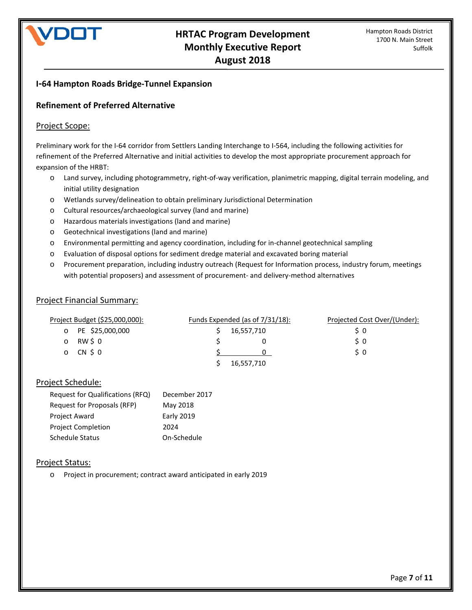# DOT

# **I-64 Hampton Roads Bridge-Tunnel Expansion**

# **Refinement of Preferred Alternative**

#### Project Scope:

Preliminary work for the I-64 corridor from Settlers Landing Interchange to I-564, including the following activities for refinement of the Preferred Alternative and initial activities to develop the most appropriate procurement approach for expansion of the HRBT:

- o Land survey, including photogrammetry, right-of-way verification, planimetric mapping, digital terrain modeling, and initial utility designation
- o Wetlands survey/delineation to obtain preliminary Jurisdictional Determination
- o Cultural resources/archaeological survey (land and marine)
- o Hazardous materials investigations (land and marine)
- o Geotechnical investigations (land and marine)
- o Environmental permitting and agency coordination, including for in-channel geotechnical sampling
- o Evaluation of disposal options for sediment dredge material and excavated boring material
- o Procurement preparation, including industry outreach (Request for Information process, industry forum, meetings with potential proposers) and assessment of procurement- and delivery-method alternatives

#### Project Financial Summary:

| Project Budget (\$25,000,000): |                 | Funds Expended (as of $7/31/18$ ): |            | Projected Cost Over/(Under): |  |
|--------------------------------|-----------------|------------------------------------|------------|------------------------------|--|
|                                | PE \$25,000,000 |                                    | 16,557,710 | S 0                          |  |
|                                | RW \$0          |                                    |            | S O                          |  |
|                                | CN \$0          |                                    |            | S 0                          |  |
|                                |                 |                                    | 16,557,710 |                              |  |

#### Project Schedule:

| Request for Qualifications (RFQ) | December 2017     |
|----------------------------------|-------------------|
| Request for Proposals (RFP)      | May 2018          |
| <b>Project Award</b>             | <b>Early 2019</b> |
| <b>Project Completion</b>        | 2024              |
| <b>Schedule Status</b>           | On-Schedule       |

#### Project Status:

o Project in procurement; contract award anticipated in early 2019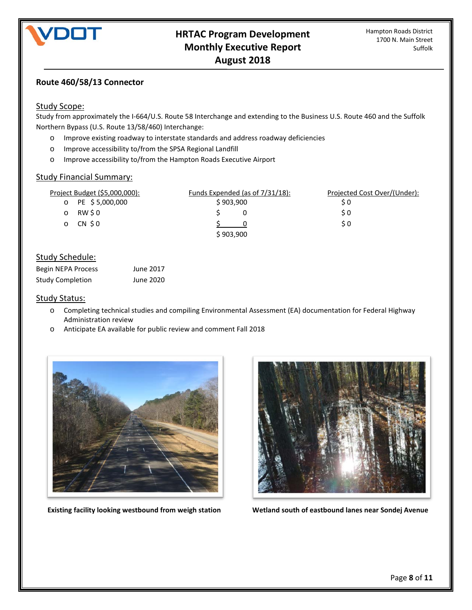

# **Route 460/58/13 Connector**

#### Study Scope:

Study from approximately the I-664/U.S. Route 58 Interchange and extending to the Business U.S. Route 460 and the Suffolk Northern Bypass (U.S. Route 13/58/460) Interchange:

- o Improve existing roadway to interstate standards and address roadway deficiencies
- o Improve accessibility to/from the SPSA Regional Landfill
- o Improve accessibility to/from the Hampton Roads Executive Airport

#### Study Financial Summary:

| Project Budget (\$5,000,000): |                   | Funds Expended (as of 7/31/18): | Projected Cost Over/(Under): |
|-------------------------------|-------------------|---------------------------------|------------------------------|
|                               | o PE $$5,000,000$ | \$903,900                       | S 0                          |
|                               | RW \$0            |                                 | S 0                          |
|                               | CN \$0            |                                 | S 0                          |
|                               |                   | \$903,900                       |                              |

# Study Schedule:

| Begin NEPA Process      | June 2017 |
|-------------------------|-----------|
| <b>Study Completion</b> | June 2020 |

#### Study Status:

- o Completing technical studies and compiling Environmental Assessment (EA) documentation for Federal Highway Administration review
- o Anticipate EA available for public review and comment Fall 2018





 **Existing facility looking westbound from weigh station Wetland south of eastbound lanes near Sondej Avenue**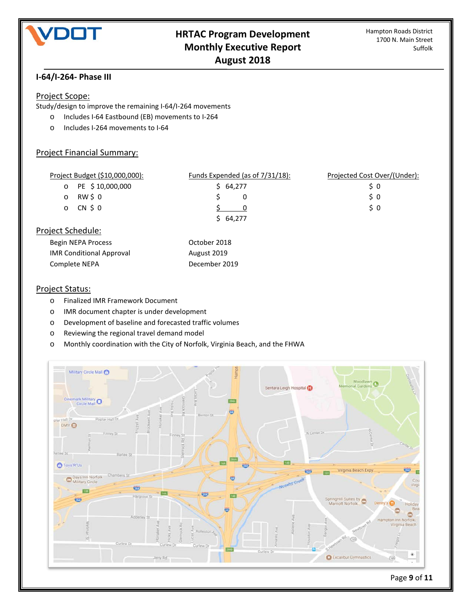

# **I-64/I-264- Phase III**

#### Project Scope:

Study/design to improve the remaining I-64/I-264 movements

- o Includes I-64 Eastbound (EB) movements to I-264
- o Includes I-264 movements to I-64

# Project Financial Summary:

| Project Budget (\$10,000,000): | Funds Expended (as of $7/31/18$ ): | Projected Cost Over/(Under): |
|--------------------------------|------------------------------------|------------------------------|
| PE \$10,000,000<br>$\circ$     | \$64,277                           | S 0                          |
| RW \$0<br>$\circ$              | 0                                  | S 0                          |
| CN \$0<br>$\circ$              |                                    | 50                           |
|                                | \$64,277                           |                              |
| Project Schedule:              |                                    |                              |
| <b>Dogin NEDA Drococc</b>      | O <sub>ch</sub>                    |                              |

| Begin NEPA Process              | October 2018  |
|---------------------------------|---------------|
| <b>IMR Conditional Approval</b> | August 2019   |
| Complete NEPA                   | December 2019 |

## Project Status:

- o Finalized IMR Framework Document
- o IMR document chapter is under development
- o Development of baseline and forecasted traffic volumes
- o Reviewing the regional travel demand model
- o Monthly coordination with the City of Norfolk, Virginia Beach, and the FHWA

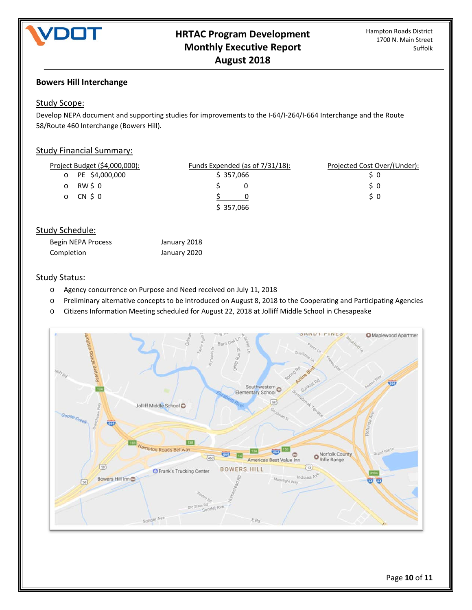

# **Bowers Hill Interchange**

# Study Scope:

Develop NEPA document and supporting studies for improvements to the I-64/I-264/I-664 Interchange and the Route 58/Route 460 Interchange (Bowers Hill).

## Study Financial Summary:

| Project Budget (\$4,000,000): | Funds Expended (as of 7/31/18): | Projected Cost Over/(Under): |
|-------------------------------|---------------------------------|------------------------------|
| o PE \$4,000,000              | \$357,066                       |                              |
| $\circ$ RW \$ 0               |                                 | S O                          |
| o CN \$0                      |                                 | S 0                          |
|                               | \$357,066                       |                              |

# Study Schedule:

| Begin NEPA Process | January 2018 |
|--------------------|--------------|
| Completion         | January 2020 |

#### Study Status:

- o Agency concurrence on Purpose and Need received on July 11, 2018
- o Preliminary alternative concepts to be introduced on August 8, 2018 to the Cooperating and Participating Agencies
- o Citizens Information Meeting scheduled for August 22, 2018 at Jolliff Middle School in Chesapeake